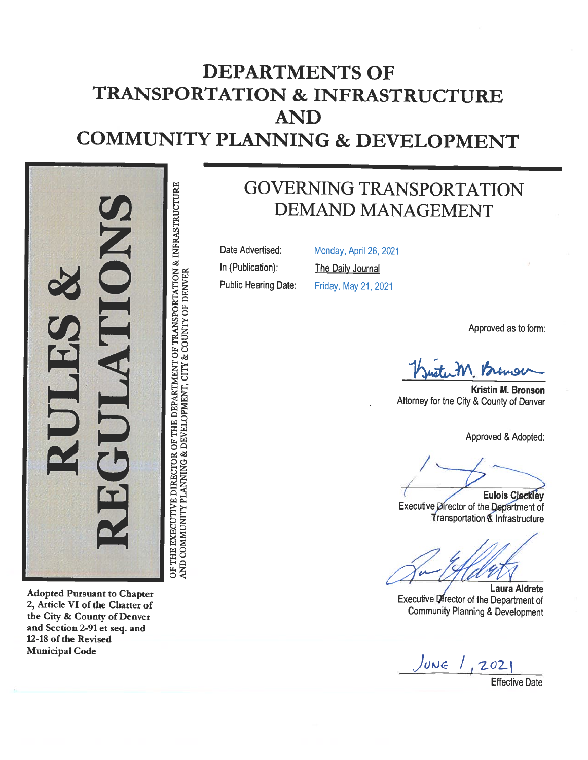# DEPARTMENTS OFTRANSPORTATION & INFRASTRUCTUREANDCOMMUNITY PLANNING & DEVELOPMENT



Adopted Pursuant to Chapter 2, Article VI of the Charter of the City & County of Denver and Section 2-91 et seq. and 12-18 of the Revised Municipal Code

GOVERNING TRANSPORTATION DEMAND MANAGEMENT

Date Advertised:In (Publication):

Public Hearing Date:

Monday, April 26, 2021 <u>The Daily Journal</u> Friday, May 21, 2021

Approved as to form:

Kuster M. romon

Kristin M. BronsonAttorney for the City & County of Denver

Approved & Adopted:

Eulois Cleckley Executive Director of the Department of Transportation & Infrastructure

Laura AidreteExecutive Director of the Department of Community Planning & Development

JUNE 1, 2021

Effective Date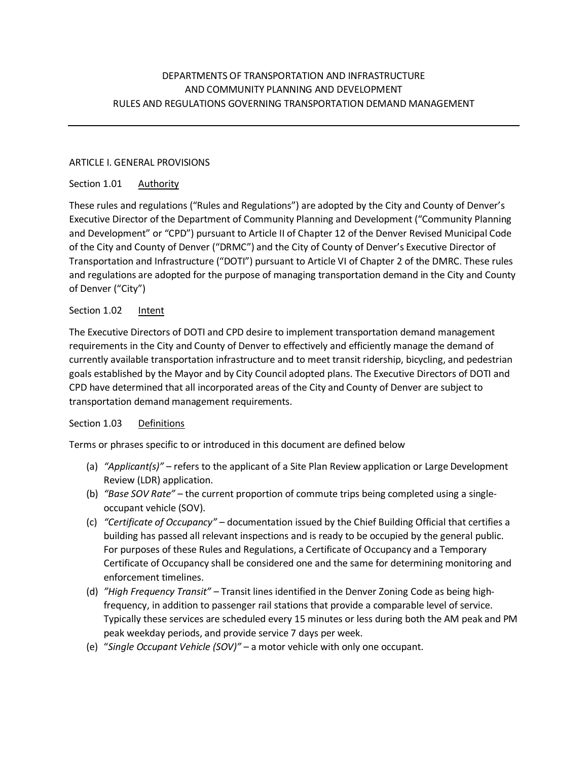# DEPARTMENTS OF TRANSPORTATION AND INFRASTRUCTURE AND COMMUNITY PLANNING AND DEVELOPMENT RULES AND REGULATIONS GOVERNING TRANSPORTATION DEMAND MANAGEMENT

#### ARTICLE I. GENERAL PROVISIONS

## Section 1.01 Authority

These rules and regulations ("Rules and Regulations") are adopted by the City and County of Denver's Executive Director of the Department of Community Planning and Development ("Community Planning and Development" or "CPD") pursuant to Article II of Chapter 12 of the Denver Revised Municipal Code of the City and County of Denver ("DRMC") and the City of County of Denver's Executive Director of Transportation and Infrastructure ("DOTI") pursuant to Article VI of Chapter 2 of the DMRC. These rules and regulations are adopted for the purpose of managing transportation demand in the City and County of Denver ("City")

### Section 1.02 Intent

The Executive Directors of DOTI and CPD desire to implement transportation demand management requirements in the City and County of Denver to effectively and efficiently manage the demand of currently available transportation infrastructure and to meet transit ridership, bicycling, and pedestrian goals established by the Mayor and by City Council adopted plans. The Executive Directors of DOTI and CPD have determined that all incorporated areas of the City and County of Denver are subject to transportation demand management requirements.

#### Section 1.03 Definitions

Terms or phrases specific to or introduced in this document are defined below

- (a) *"Applicant(s)"*  refers to the applicant of a Site Plan Review application or Large Development Review (LDR) application.
- (b) *"Base SOV Rate"* the current proportion of commute trips being completed using a singleoccupant vehicle (SOV).
- (c) *"Certificate of Occupancy"*  documentation issued by the Chief Building Official that certifies a building has passed all relevant inspections and is ready to be occupied by the general public. For purposes of these Rules and Regulations, a Certificate of Occupancy and a Temporary Certificate of Occupancy shall be considered one and the same for determining monitoring and enforcement timelines.
- (d) *"High Frequency Transit"* Transit lines identified in the Denver Zoning Code as being highfrequency, in addition to passenger rail stations that provide a comparable level of service. Typically these services are scheduled every 15 minutes or less during both the AM peak and PM peak weekday periods, and provide service 7 days per week.
- (e) "*Single Occupant Vehicle (SOV)"*  a motor vehicle with only one occupant.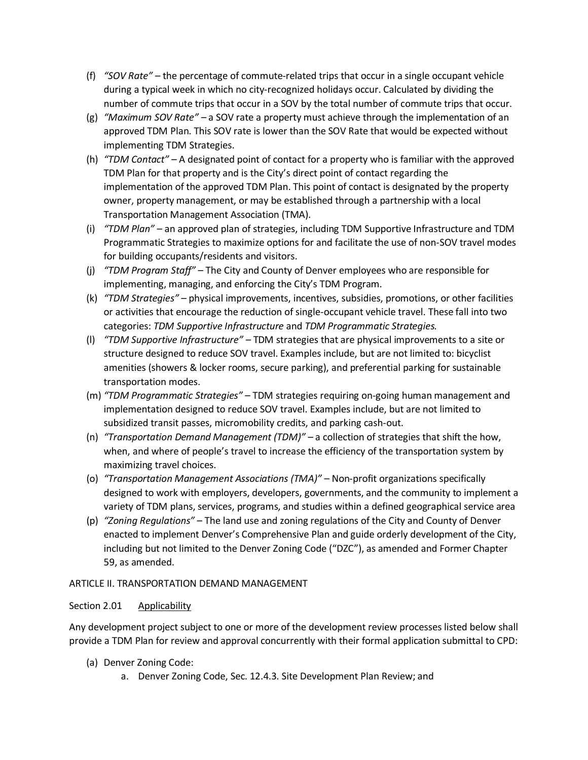- (f) *"SOV Rate"*  the percentage of commute-related trips that occur in a single occupant vehicle during a typical week in which no city-recognized holidays occur. Calculated by dividing the number of commute trips that occur in a SOV by the total number of commute trips that occur.
- (g) *"Maximum SOV Rate"*  a SOV rate a property must achieve through the implementation of an approved TDM Plan. This SOV rate is lower than the SOV Rate that would be expected without implementing TDM Strategies.
- (h) *"TDM Contact"* A designated point of contact for a property who is familiar with the approved TDM Plan for that property and is the City's direct point of contact regarding the implementation of the approved TDM Plan. This point of contact is designated by the property owner, property management, or may be established through a partnership with a local Transportation Management Association (TMA).
- (i) *"TDM Plan"* an approved plan of strategies, including TDM Supportive Infrastructure and TDM Programmatic Strategies to maximize options for and facilitate the use of non-SOV travel modes for building occupants/residents and visitors.
- (j) *"TDM Program Staff"*  The City and County of Denver employees who are responsible for implementing, managing, and enforcing the City's TDM Program.
- (k) *"TDM Strategies"* physical improvements, incentives, subsidies, promotions, or other facilities or activities that encourage the reduction of single-occupant vehicle travel. These fall into two categories: *TDM Supportive Infrastructure* and *TDM Programmatic Strategies.*
- (l) *"TDM Supportive Infrastructure"* TDM strategies that are physical improvements to a site or structure designed to reduce SOV travel. Examples include, but are not limited to: bicyclist amenities (showers & locker rooms, secure parking), and preferential parking for sustainable transportation modes.
- (m) *"TDM Programmatic Strategies"* TDM strategies requiring on-going human management and implementation designed to reduce SOV travel. Examples include, but are not limited to subsidized transit passes, micromobility credits, and parking cash-out.
- (n) *"Transportation Demand Management (TDM)"* a collection of strategies that shift the how, when, and where of people's travel to increase the efficiency of the transportation system by maximizing travel choices.
- (o) *"Transportation Management Associations (TMA)"* Non-profit organizations specifically designed to work with employers, developers, governments, and the community to implement a variety of TDM plans, services, programs, and studies within a defined geographical service area
- (p) *"Zoning Regulations"*  The land use and zoning regulations of the City and County of Denver enacted to implement Denver's Comprehensive Plan and guide orderly development of the City, including but not limited to the Denver Zoning Code ("DZC"), as amended and Former Chapter 59, as amended.

## ARTICLE II. TRANSPORTATION DEMAND MANAGEMENT

## Section 2.01 Applicability

Any development project subject to one or more of the development review processes listed below shall provide a TDM Plan for review and approval concurrently with their formal application submittal to CPD:

- (a) Denver Zoning Code:
	- a. Denver Zoning Code, Sec. 12.4.3. Site Development Plan Review; and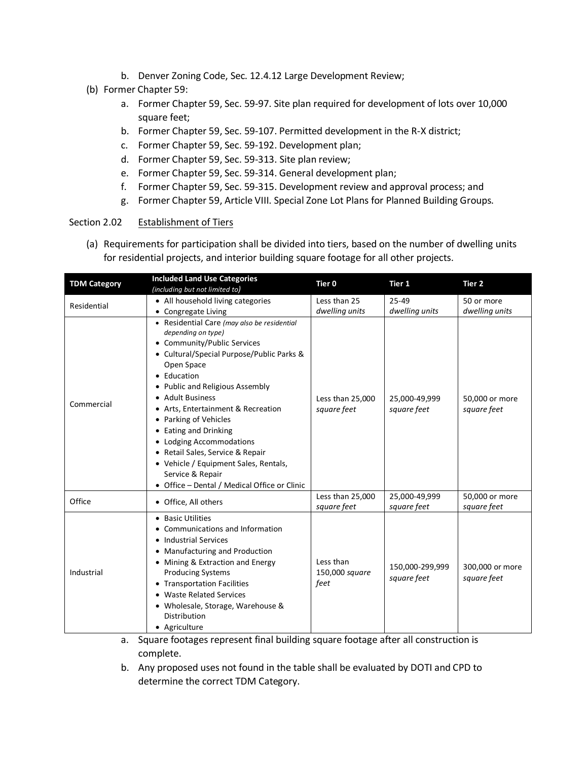- b. Denver Zoning Code, Sec. 12.4.12 Large Development Review;
- (b) Former Chapter 59:
	- a. Former Chapter 59, Sec. 59-97. Site plan required for development of lots over 10,000 square feet;
	- b. Former Chapter 59, Sec. 59-107. Permitted development in the R-X district;
	- c. Former Chapter 59, Sec. 59-192. Development plan;
	- d. Former Chapter 59, Sec. 59-313. Site plan review;
	- e. Former Chapter 59, Sec. 59-314. General development plan;
	- f. Former Chapter 59, Sec. 59-315. Development review and approval process; and
	- g. Former Chapter 59, Article VIII. Special Zone Lot Plans for Planned Building Groups.

#### Section 2.02 Establishment of Tiers

(a) Requirements for participation shall be divided into tiers, based on the number of dwelling units for residential projects, and interior building square footage for all other projects.

| <b>TDM Category</b> | <b>Included Land Use Categories</b><br>(including but not limited to)                                                                                                                                                                                                                                                                                                                                                                                                                              | Tier 0                              | Tier 1                         | Tier 2                         |
|---------------------|----------------------------------------------------------------------------------------------------------------------------------------------------------------------------------------------------------------------------------------------------------------------------------------------------------------------------------------------------------------------------------------------------------------------------------------------------------------------------------------------------|-------------------------------------|--------------------------------|--------------------------------|
| Residential         | • All household living categories                                                                                                                                                                                                                                                                                                                                                                                                                                                                  | Less than 25                        | 25-49                          | 50 or more                     |
|                     | Congregate Living                                                                                                                                                                                                                                                                                                                                                                                                                                                                                  | dwelling units                      | dwelling units                 | dwelling units                 |
| Commercial          | • Residential Care (may also be residential<br>depending on type)<br>• Community/Public Services<br>• Cultural/Special Purpose/Public Parks &<br>Open Space<br>• Education<br>• Public and Religious Assembly<br>• Adult Business<br>Arts, Entertainment & Recreation<br>Parking of Vehicles<br>• Eating and Drinking<br>• Lodging Accommodations<br>• Retail Sales, Service & Repair<br>• Vehicle / Equipment Sales, Rentals,<br>Service & Repair<br>• Office - Dental / Medical Office or Clinic | Less than 25,000<br>square feet     | 25,000-49,999<br>square feet   | 50,000 or more<br>square feet  |
| Office              | • Office, All others                                                                                                                                                                                                                                                                                                                                                                                                                                                                               | Less than 25,000<br>square feet     | 25,000-49,999<br>square feet   | 50,000 or more<br>square feet  |
| Industrial          | • Basic Utilities<br>Communications and Information<br><b>Industrial Services</b><br>• Manufacturing and Production<br>• Mining & Extraction and Energy<br><b>Producing Systems</b><br>• Transportation Facilities<br>• Waste Related Services<br>• Wholesale, Storage, Warehouse &<br>Distribution<br>• Agriculture                                                                                                                                                                               | Less than<br>150,000 square<br>feet | 150,000-299,999<br>square feet | 300,000 or more<br>square feet |

- a. Square footages represent final building square footage after all construction is complete.
- b. Any proposed uses not found in the table shall be evaluated by DOTI and CPD to determine the correct TDM Category.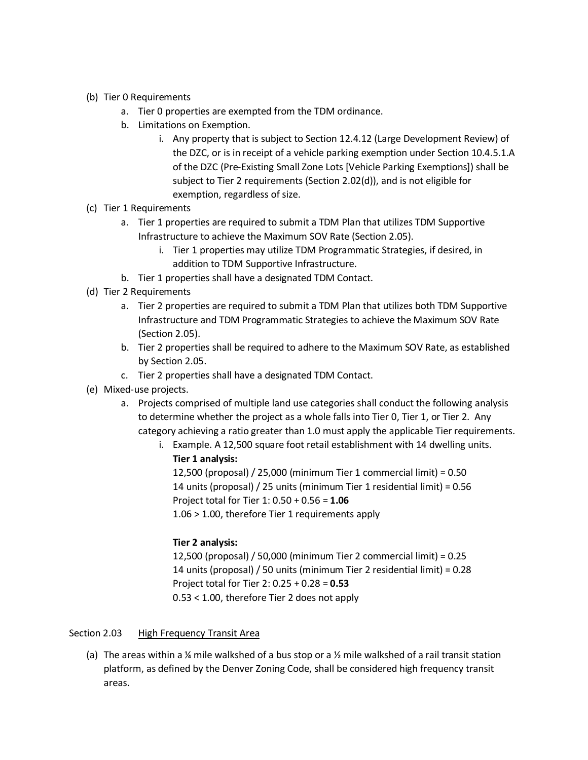- (b) Tier 0 Requirements
	- a. Tier 0 properties are exempted from the TDM ordinance.
	- b. Limitations on Exemption.
		- i. Any property that is subject to Section 12.4.12 (Large Development Review) of the DZC, or is in receipt of a vehicle parking exemption under Section 10.4.5.1.A of the DZC (Pre-Existing Small Zone Lots [Vehicle Parking Exemptions]) shall be subject to Tier 2 requirements (Section 2.02(d)), and is not eligible for exemption, regardless of size.
- (c) Tier 1 Requirements
	- a. Tier 1 properties are required to submit a TDM Plan that utilizes TDM Supportive Infrastructure to achieve the Maximum SOV Rate (Section 2.05).
		- i. Tier 1 properties may utilize TDM Programmatic Strategies, if desired, in addition to TDM Supportive Infrastructure.
	- b. Tier 1 properties shall have a designated TDM Contact.
- (d) Tier 2 Requirements
	- a. Tier 2 properties are required to submit a TDM Plan that utilizes both TDM Supportive Infrastructure and TDM Programmatic Strategies to achieve the Maximum SOV Rate (Section 2.05).
	- b. Tier 2 properties shall be required to adhere to the Maximum SOV Rate, as established by Section 2.05.
	- c. Tier 2 properties shall have a designated TDM Contact.
- (e) Mixed-use projects.
	- a. Projects comprised of multiple land use categories shall conduct the following analysis to determine whether the project as a whole falls into Tier 0, Tier 1, or Tier 2. Any category achieving a ratio greater than 1.0 must apply the applicable Tier requirements.
		- i. Example. A 12,500 square foot retail establishment with 14 dwelling units. **Tier 1 analysis:**

12,500 (proposal) / 25,000 (minimum Tier 1 commercial limit) = 0.50 14 units (proposal) / 25 units (minimum Tier 1 residential limit) = 0.56 Project total for Tier 1: 0.50 + 0.56 = **1.06** 1.06 > 1.00, therefore Tier 1 requirements apply

#### **Tier 2 analysis:**

12,500 (proposal) / 50,000 (minimum Tier 2 commercial limit) = 0.25 14 units (proposal) / 50 units (minimum Tier 2 residential limit) = 0.28 Project total for Tier 2: 0.25 + 0.28 = **0.53** 0.53 < 1.00, therefore Tier 2 does not apply

#### Section 2.03 High Frequency Transit Area

(a) The areas within a  $\frac{1}{4}$  mile walkshed of a bus stop or a  $\frac{1}{2}$  mile walkshed of a rail transit station platform, as defined by the Denver Zoning Code, shall be considered high frequency transit areas.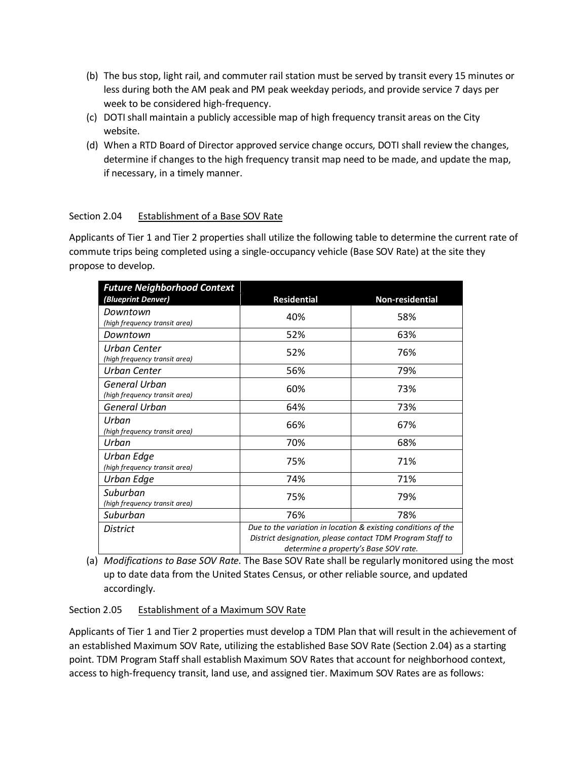- (b) The bus stop, light rail, and commuter rail station must be served by transit every 15 minutes or less during both the AM peak and PM peak weekday periods, and provide service 7 days per week to be considered high-frequency.
- (c) DOTI shall maintain a publicly accessible map of high frequency transit areas on the City website.
- (d) When a RTD Board of Director approved service change occurs, DOTI shall review the changes, determine if changes to the high frequency transit map need to be made, and update the map, if necessary, in a timely manner.

## Section 2.04 Establishment of a Base SOV Rate

Applicants of Tier 1 and Tier 2 properties shall utilize the following table to determine the current rate of commute trips being completed using a single-occupancy vehicle (Base SOV Rate) at the site they propose to develop.

| <b>Future Neighborhood Context</b>             |                                                                                                                                                                     |                 |  |
|------------------------------------------------|---------------------------------------------------------------------------------------------------------------------------------------------------------------------|-----------------|--|
| (Blueprint Denver)                             | <b>Residential</b>                                                                                                                                                  | Non-residential |  |
| Downtown<br>(high frequency transit area)      | 40%                                                                                                                                                                 | 58%             |  |
| Downtown                                       | 52%                                                                                                                                                                 | 63%             |  |
| Urban Center<br>(high frequency transit area)  | 52%                                                                                                                                                                 | 76%             |  |
| Urban Center                                   | 56%                                                                                                                                                                 | 79%             |  |
| General Urban<br>(high frequency transit area) | 60%                                                                                                                                                                 | 73%             |  |
| General Urban                                  | 64%                                                                                                                                                                 | 73%             |  |
| Urban<br>(high frequency transit area)         | 66%                                                                                                                                                                 | 67%             |  |
| Urban                                          | 70%                                                                                                                                                                 | 68%             |  |
| Urban Edge<br>(high frequency transit area)    | 75%                                                                                                                                                                 | 71%             |  |
| Urban Edge                                     | 74%                                                                                                                                                                 | 71%             |  |
| Suburban<br>(high frequency transit area)      | 75%                                                                                                                                                                 | 79%             |  |
| Suburban                                       | 76%                                                                                                                                                                 | 78%             |  |
| <b>District</b>                                | Due to the variation in location & existing conditions of the<br>District designation, please contact TDM Program Staff to<br>determine a property's Base SOV rate. |                 |  |

(a) *Modifications to Base SOV Rate.* The Base SOV Rate shall be regularly monitored using the most up to date data from the United States Census, or other reliable source, and updated accordingly.

## Section 2.05 Establishment of a Maximum SOV Rate

Applicants of Tier 1 and Tier 2 properties must develop a TDM Plan that will result in the achievement of an established Maximum SOV Rate, utilizing the established Base SOV Rate (Section 2.04) as a starting point. TDM Program Staff shall establish Maximum SOV Rates that account for neighborhood context, access to high-frequency transit, land use, and assigned tier. Maximum SOV Rates are as follows: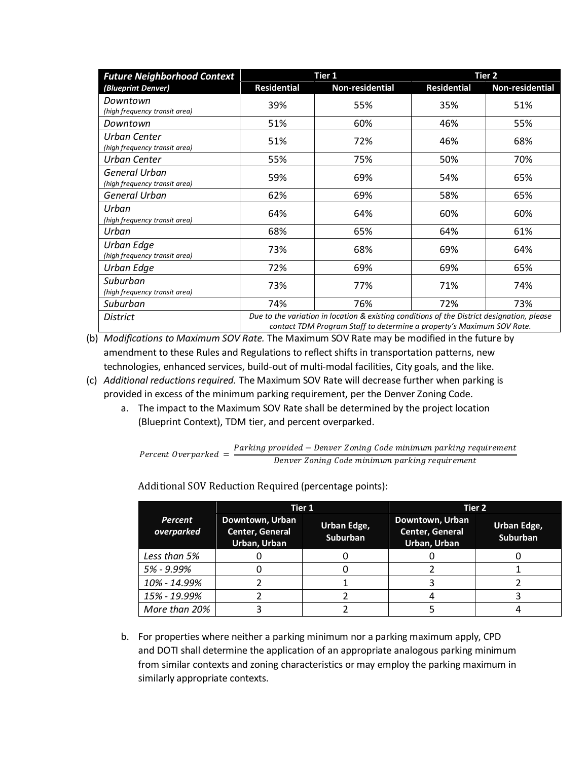| <b>Future Neighborhood Context</b>             | Tier 1                                                                                                                                                              |                 | Tier <sub>2</sub>  |                 |
|------------------------------------------------|---------------------------------------------------------------------------------------------------------------------------------------------------------------------|-----------------|--------------------|-----------------|
| (Blueprint Denver)                             | <b>Residential</b>                                                                                                                                                  | Non-residential | <b>Residential</b> | Non-residential |
| Downtown<br>(high frequency transit area)      | 39%                                                                                                                                                                 | 55%             | 35%                | 51%             |
| Downtown                                       | 51%                                                                                                                                                                 | 60%             | 46%                | 55%             |
| Urban Center<br>(high frequency transit area)  | 51%                                                                                                                                                                 | 72%             | 46%                | 68%             |
| Urban Center                                   | 55%                                                                                                                                                                 | 75%             | 50%                | 70%             |
| General Urban<br>(high frequency transit area) | 59%                                                                                                                                                                 | 69%             | 54%                | 65%             |
| General Urban                                  | 62%                                                                                                                                                                 | 69%             | 58%                | 65%             |
| Urban<br>(high frequency transit area)         | 64%                                                                                                                                                                 | 64%             | 60%                | 60%             |
| Urban                                          | 68%                                                                                                                                                                 | 65%             | 64%                | 61%             |
| Urban Edge<br>(high frequency transit area)    | 73%                                                                                                                                                                 | 68%             | 69%                | 64%             |
| Urban Edge                                     | 72%                                                                                                                                                                 | 69%             | 69%                | 65%             |
| Suburban<br>(high frequency transit area)      | 73%                                                                                                                                                                 | 77%             | 71%                | 74%             |
| Suburban                                       | 74%                                                                                                                                                                 | 76%             | 72%                | 73%             |
| <b>District</b>                                | Due to the variation in location & existing conditions of the District designation, please<br>contact TDM Program Staff to determine a property's Maximum SOV Rate. |                 |                    |                 |

(b) *Modifications to Maximum SOV Rate.* The Maximum SOV Rate may be modified in the future by amendment to these Rules and Regulations to reflect shifts in transportation patterns, new technologies, enhanced services, build-out of multi-modal facilities, City goals, and the like.

- (c) *Additional reductions required.* The Maximum SOV Rate will decrease further when parking is provided in excess of the minimum parking requirement, per the Denver Zoning Code.
	- a. The impact to the Maximum SOV Rate shall be determined by the project location (Blueprint Context), TDM tier, and percent overparked.

Percent Overparked  $=$   $\frac{Parking \, provided - Denver \, Zoning \, Code \, minimum \, parking \, requirement}{Down \, Zrightarrow \, P}$ Denver Zoning Code minimum parking requirement

*Percent overparked* **Tier 1 Tier 2 Downtown, Urban Center, General Urban, Urban Urban Edge, Suburban Downtown, Urban Center, General Urban, Urban Urban Edge, Suburban** *Less than 5%* 0 0 0 0 *5% - 9.99%* 0 0 2 1 10% - 14.99% 2 1 - 1 3 2 *15% - 19.99%* 2 2 4 3 *More than 20%* | 3 | 2 | 5 | 4

Additional SOV Reduction Required (percentage points):

b. For properties where neither a parking minimum nor a parking maximum apply, CPD and DOTI shall determine the application of an appropriate analogous parking minimum from similar contexts and zoning characteristics or may employ the parking maximum in similarly appropriate contexts.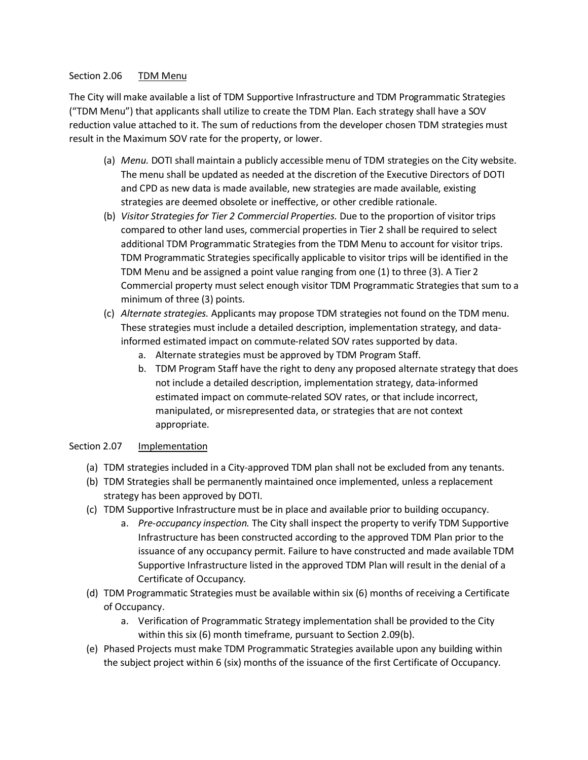#### Section 2.06 TDM Menu

The City will make available a list of TDM Supportive Infrastructure and TDM Programmatic Strategies ("TDM Menu") that applicants shall utilize to create the TDM Plan. Each strategy shall have a SOV reduction value attached to it. The sum of reductions from the developer chosen TDM strategies must result in the Maximum SOV rate for the property, or lower.

- (a) *Menu.* DOTI shall maintain a publicly accessible menu of TDM strategies on the City website. The menu shall be updated as needed at the discretion of the Executive Directors of DOTI and CPD as new data is made available, new strategies are made available, existing strategies are deemed obsolete or ineffective, or other credible rationale.
- (b) *Visitor Strategies for Tier 2 Commercial Properties.* Due to the proportion of visitor trips compared to other land uses, commercial properties in Tier 2 shall be required to select additional TDM Programmatic Strategies from the TDM Menu to account for visitor trips. TDM Programmatic Strategies specifically applicable to visitor trips will be identified in the TDM Menu and be assigned a point value ranging from one (1) to three (3). A Tier 2 Commercial property must select enough visitor TDM Programmatic Strategies that sum to a minimum of three (3) points.
- (c) *Alternate strategies.* Applicants may propose TDM strategies not found on the TDM menu. These strategies must include a detailed description, implementation strategy, and datainformed estimated impact on commute-related SOV rates supported by data.
	- a. Alternate strategies must be approved by TDM Program Staff.
	- b. TDM Program Staff have the right to deny any proposed alternate strategy that does not include a detailed description, implementation strategy, data-informed estimated impact on commute-related SOV rates, or that include incorrect, manipulated, or misrepresented data, or strategies that are not context appropriate.

#### Section 2.07 Implementation

- (a) TDM strategies included in a City-approved TDM plan shall not be excluded from any tenants.
- (b) TDM Strategies shall be permanently maintained once implemented, unless a replacement strategy has been approved by DOTI.
- (c) TDM Supportive Infrastructure must be in place and available prior to building occupancy.
	- a. *Pre-occupancy inspection.* The City shall inspect the property to verify TDM Supportive Infrastructure has been constructed according to the approved TDM Plan prior to the issuance of any occupancy permit. Failure to have constructed and made available TDM Supportive Infrastructure listed in the approved TDM Plan will result in the denial of a Certificate of Occupancy.
- (d) TDM Programmatic Strategies must be available within six (6) months of receiving a Certificate of Occupancy.
	- a. Verification of Programmatic Strategy implementation shall be provided to the City within this six (6) month timeframe, pursuant to Section 2.09(b).
- (e) Phased Projects must make TDM Programmatic Strategies available upon any building within the subject project within 6 (six) months of the issuance of the first Certificate of Occupancy.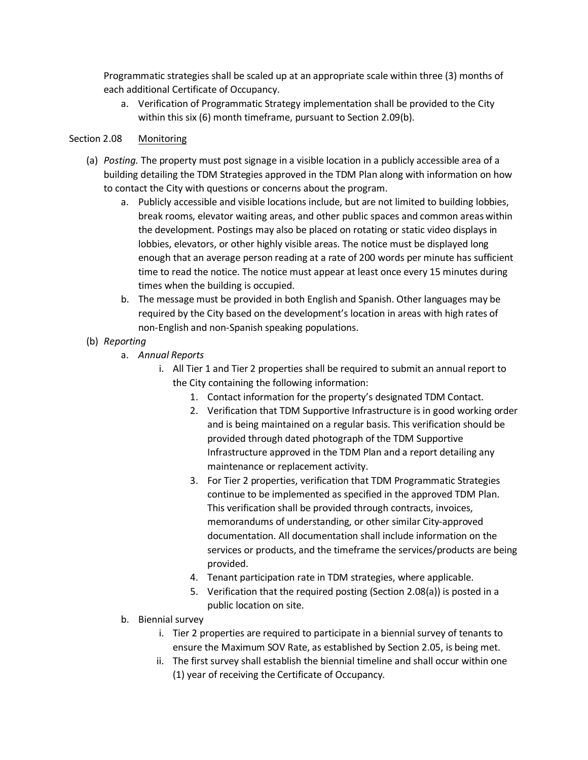Programmatic strategies shall be scaled up at an appropriate scale within three (3) months of each additional Certificate of Occupancy.

a. Verification of Programmatic Strategy implementation shall be provided to the City within this six (6) month timeframe, pursuant to Section 2.09(b).

#### Section 2.08 Monitoring

- (a) *Posting.* The property must post signage in a visible location in a publicly accessible area of a building detailing the TDM Strategies approved in the TDM Plan along with information on how to contact the City with questions or concerns about the program.
	- a. Publicly accessible and visible locations include, but are not limited to building lobbies, break rooms, elevator waiting areas, and other public spaces and common areas within the development. Postings may also be placed on rotating or static video displays in lobbies, elevators, or other highly visible areas. The notice must be displayed long enough that an average person reading at a rate of 200 words per minute has sufficient time to read the notice. The notice must appear at least once every 15 minutes during times when the building is occupied.
	- b. The message must be provided in both English and Spanish. Other languages may be required by the City based on the development's location in areas with high rates of non-English and non-Spanish speaking populations.
- (b) *Reporting*
	- a. *Annual Reports*
		- i. All Tier 1 and Tier 2 properties shall be required to submit an annual report to the City containing the following information:
			- 1. Contact information for the property's designated TDM Contact.
			- 2. Verification that TDM Supportive Infrastructure is in good working order and is being maintained on a regular basis. This verification should be provided through dated photograph of the TDM Supportive Infrastructure approved in the TDM Plan and a report detailing any maintenance or replacement activity.
			- 3. For Tier 2 properties, verification that TDM Programmatic Strategies continue to be implemented as specified in the approved TDM Plan. This verification shall be provided through contracts, invoices, memorandums of understanding, or other similar City-approved documentation. All documentation shall include information on the services or products, and the timeframe the services/products are being provided.
			- 4. Tenant participation rate in TDM strategies, where applicable.
			- 5. Verification that the required posting (Section 2.08(a)) is posted in a public location on site.
	- b. Biennial survey
		- i. Tier 2 properties are required to participate in a biennial survey of tenants to ensure the Maximum SOV Rate, as established by Section 2.05, is being met.
		- ii. The first survey shall establish the biennial timeline and shall occur within one (1) year of receiving the Certificate of Occupancy.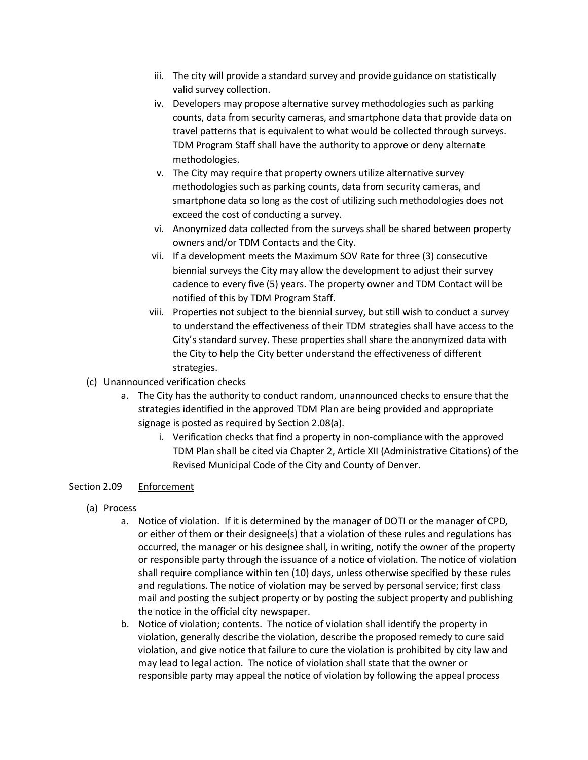- iii. The city will provide a standard survey and provide guidance on statistically valid survey collection.
- iv. Developers may propose alternative survey methodologies such as parking counts, data from security cameras, and smartphone data that provide data on travel patterns that is equivalent to what would be collected through surveys. TDM Program Staff shall have the authority to approve or deny alternate methodologies.
- v. The City may require that property owners utilize alternative survey methodologies such as parking counts, data from security cameras, and smartphone data so long as the cost of utilizing such methodologies does not exceed the cost of conducting a survey.
- vi. Anonymized data collected from the surveys shall be shared between property owners and/or TDM Contacts and the City.
- vii. If a development meets the Maximum SOV Rate for three (3) consecutive biennial surveys the City may allow the development to adjust their survey cadence to every five (5) years. The property owner and TDM Contact will be notified of this by TDM Program Staff.
- viii. Properties not subject to the biennial survey, but still wish to conduct a survey to understand the effectiveness of their TDM strategies shall have access to the City's standard survey. These properties shall share the anonymized data with the City to help the City better understand the effectiveness of different strategies.
- (c) Unannounced verification checks
	- a. The City has the authority to conduct random, unannounced checks to ensure that the strategies identified in the approved TDM Plan are being provided and appropriate signage is posted as required by Section 2.08(a).
		- i. Verification checks that find a property in non-compliance with the approved TDM Plan shall be cited via Chapter 2, Article XII (Administrative Citations) of the Revised Municipal Code of the City and County of Denver.

#### Section 2.09 Enforcement

- (a) Process
	- a. Notice of violation. If it is determined by the manager of DOTI or the manager of CPD, or either of them or their designee(s) that a violation of these rules and regulations has occurred, the manager or his designee shall, in writing, notify the owner of the property or responsible party through the issuance of a notice of violation. The notice of violation shall require compliance within ten (10) days, unless otherwise specified by these rules and regulations. The notice of violation may be served by personal service; first class mail and posting the subject property or by posting the subject property and publishing the notice in the official city newspaper.
	- b. Notice of violation; contents. The notice of violation shall identify the property in violation, generally describe the violation, describe the proposed remedy to cure said violation, and give notice that failure to cure the violation is prohibited by city law and may lead to legal action. The notice of violation shall state that the owner or responsible party may appeal the notice of violation by following the appeal process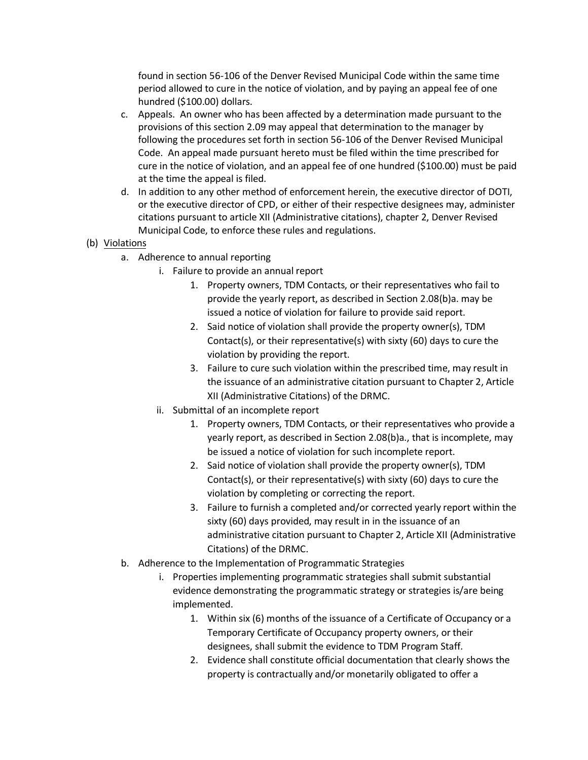found in section 56-106 of the Denver Revised Municipal Code within the same time period allowed to cure in the notice of violation, and by paying an appeal fee of one hundred (\$100.00) dollars.

- c. Appeals. An owner who has been affected by a determination made pursuant to the provisions of this section 2.09 may appeal that determination to the manager by following the procedures set forth in section 56-106 of the Denver Revised Municipal Code. An appeal made pursuant hereto must be filed within the time prescribed for cure in the notice of violation, and an appeal fee of one hundred (\$100.00) must be paid at the time the appeal is filed.
- d. In addition to any other method of enforcement herein, the executive director of DOTI, or the executive director of CPD, or either of their respective designees may, administer citations pursuant to article XII (Administrative citations), chapter 2, Denver Revised Municipal Code, to enforce these rules and regulations.
- (b) Violations
	- a. Adherence to annual reporting
		- i. Failure to provide an annual report
			- 1. Property owners, TDM Contacts, or their representatives who fail to provide the yearly report, as described in Section 2.08(b)a. may be issued a notice of violation for failure to provide said report.
			- 2. Said notice of violation shall provide the property owner(s), TDM Contact(s), or their representative(s) with sixty (60) days to cure the violation by providing the report.
			- 3. Failure to cure such violation within the prescribed time, may result in the issuance of an administrative citation pursuant to Chapter 2, Article XII (Administrative Citations) of the DRMC.
		- ii. Submittal of an incomplete report
			- 1. Property owners, TDM Contacts, or their representatives who provide a yearly report, as described in Section 2.08(b)a., that is incomplete, may be issued a notice of violation for such incomplete report.
			- 2. Said notice of violation shall provide the property owner(s), TDM Contact(s), or their representative(s) with sixty (60) days to cure the violation by completing or correcting the report.
			- 3. Failure to furnish a completed and/or corrected yearly report within the sixty (60) days provided, may result in in the issuance of an administrative citation pursuant to Chapter 2, Article XII (Administrative Citations) of the DRMC.
	- b. Adherence to the Implementation of Programmatic Strategies
		- i. Properties implementing programmatic strategies shall submit substantial evidence demonstrating the programmatic strategy or strategies is/are being implemented.
			- 1. Within six (6) months of the issuance of a Certificate of Occupancy or a Temporary Certificate of Occupancy property owners, or their designees, shall submit the evidence to TDM Program Staff.
			- 2. Evidence shall constitute official documentation that clearly shows the property is contractually and/or monetarily obligated to offer a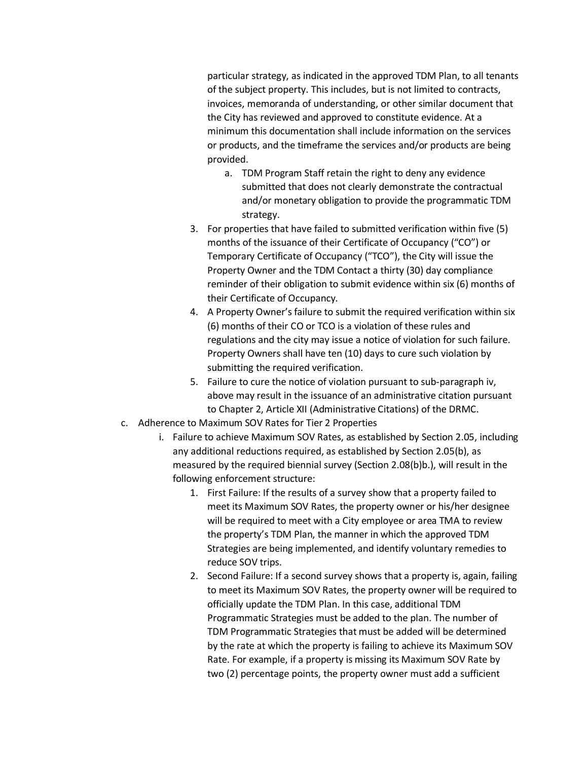particular strategy, as indicated in the approved TDM Plan, to all tenants of the subject property. This includes, but is not limited to contracts, invoices, memoranda of understanding, or other similar document that the City has reviewed and approved to constitute evidence. At a minimum this documentation shall include information on the services or products, and the timeframe the services and/or products are being provided.

- a. TDM Program Staff retain the right to deny any evidence submitted that does not clearly demonstrate the contractual and/or monetary obligation to provide the programmatic TDM strategy.
- 3. For properties that have failed to submitted verification within five (5) months of the issuance of their Certificate of Occupancy ("CO") or Temporary Certificate of Occupancy ("TCO"), the City will issue the Property Owner and the TDM Contact a thirty (30) day compliance reminder of their obligation to submit evidence within six (6) months of their Certificate of Occupancy.
- 4. A Property Owner's failure to submit the required verification within six (6) months of their CO or TCO is a violation of these rules and regulations and the city may issue a notice of violation for such failure. Property Owners shall have ten (10) days to cure such violation by submitting the required verification.
- 5. Failure to cure the notice of violation pursuant to sub-paragraph iv, above may result in the issuance of an administrative citation pursuant to Chapter 2, Article XII (Administrative Citations) of the DRMC.
- c. Adherence to Maximum SOV Rates for Tier 2 Properties
	- i. Failure to achieve Maximum SOV Rates, as established by Section 2.05, including any additional reductions required, as established by Section 2.05(b), as measured by the required biennial survey (Section 2.08(b)b.), will result in the following enforcement structure:
		- 1. First Failure: If the results of a survey show that a property failed to meet its Maximum SOV Rates, the property owner or his/her designee will be required to meet with a City employee or area TMA to review the property's TDM Plan, the manner in which the approved TDM Strategies are being implemented, and identify voluntary remedies to reduce SOV trips.
		- 2. Second Failure: If a second survey shows that a property is, again, failing to meet its Maximum SOV Rates, the property owner will be required to officially update the TDM Plan. In this case, additional TDM Programmatic Strategies must be added to the plan. The number of TDM Programmatic Strategies that must be added will be determined by the rate at which the property is failing to achieve its Maximum SOV Rate. For example, if a property is missing its Maximum SOV Rate by two (2) percentage points, the property owner must add a sufficient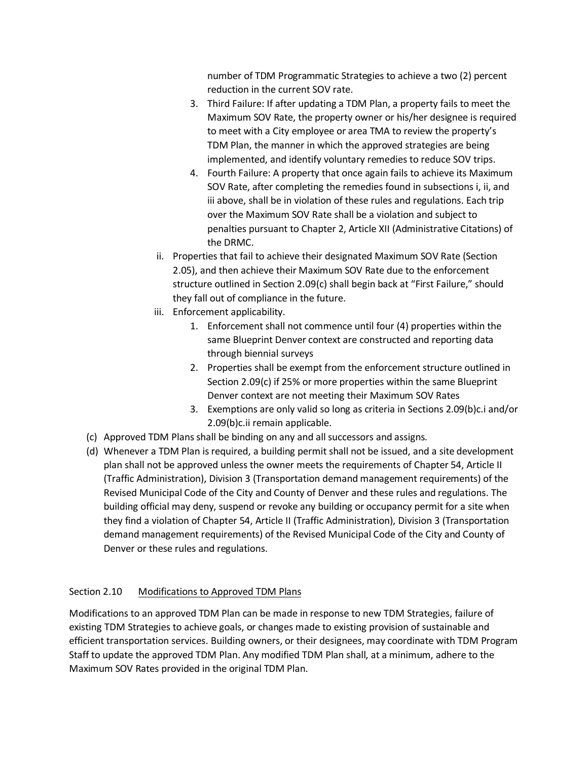number of TDM Programmatic Strategies to achieve a two (2) percent reduction in the current SOV rate.

- 3. Third Failure: If after updating a TDM Plan, a property fails to meet the Maximum SOV Rate, the property owner or his/her designee is required to meet with a City employee or area TMA to review the property's TDM Plan, the manner in which the approved strategies are being implemented, and identify voluntary remedies to reduce SOV trips.
- 4. Fourth Failure: A property that once again fails to achieve its Maximum SOV Rate, after completing the remedies found in subsections i, ii, and iii above, shall be in violation of these rules and regulations. Each trip over the Maximum SOV Rate shall be a violation and subject to penalties pursuant to Chapter 2, Article XII (Administrative Citations) of the DRMC.
- ii. Properties that fail to achieve their designated Maximum SOV Rate (Section 2.05), and then achieve their Maximum SOV Rate due to the enforcement structure outlined in Section 2.09(c) shall begin back at "First Failure," should they fall out of compliance in the future.
- iii. Enforcement applicability.
	- 1. Enforcement shall not commence until four (4) properties within the same Blueprint Denver context are constructed and reporting data through biennial surveys
	- 2. Properties shall be exempt from the enforcement structure outlined in Section 2.09(c) if 25% or more properties within the same Blueprint Denver context are not meeting their Maximum SOV Rates
	- 3. Exemptions are only valid so long as criteria in Sections 2.09(b)c.i and/or 2.09(b)c.ii remain applicable.
- (c) Approved TDM Plans shall be binding on any and all successors and assigns.
- (d) Whenever a TDM Plan is required, a building permit shall not be issued, and a site development plan shall not be approved unless the owner meets the requirements of Chapter 54, Article II (Traffic Administration), Division 3 (Transportation demand management requirements) of the Revised Municipal Code of the City and County of Denver and these rules and regulations. The building official may deny, suspend or revoke any building or occupancy permit for a site when they find a violation of Chapter 54, Article II (Traffic Administration), Division 3 (Transportation demand management requirements) of the Revised Municipal Code of the City and County of Denver or these rules and regulations.

## Section 2.10 Modifications to Approved TDM Plans

Modifications to an approved TDM Plan can be made in response to new TDM Strategies, failure of existing TDM Strategies to achieve goals, or changes made to existing provision of sustainable and efficient transportation services. Building owners, or their designees, may coordinate with TDM Program Staff to update the approved TDM Plan. Any modified TDM Plan shall, at a minimum, adhere to the Maximum SOV Rates provided in the original TDM Plan.